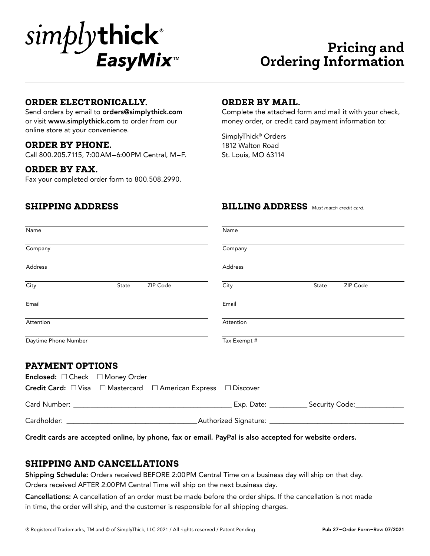

# **Pricing and Ordering Information**

#### **ORDER ELECTRONICALLY.**

Send orders by email to orders@simplythick.com or visit www.simplythick.com to order from our online store at your convenience.

#### **ORDER BY PHONE.**

Call 800.205.7115, 7:00AM–6:00PM Central, M–F.

#### **ORDER BY FAX.**

Fax your completed order form to 800.508.2990.

### **ORDER BY MAIL.**

Complete the attached form and mail it with your check, money order, or credit card payment information to:

SimplyThick® Orders 1812 Walton Road St. Louis, MO 63114

#### **SHIPPING ADDRESS BILLING ADDRESS** *Must match credit card.*

| Name                                                           | Name                      |  |  |  |
|----------------------------------------------------------------|---------------------------|--|--|--|
| Company                                                        | Company                   |  |  |  |
| Address                                                        | Address                   |  |  |  |
| ZIP Code<br>City<br>State                                      | City<br>ZIP Code<br>State |  |  |  |
| Email                                                          | Email                     |  |  |  |
| Attention                                                      | Attention                 |  |  |  |
| Daytime Phone Number                                           | Tax Exempt #              |  |  |  |
| <b>PAYMENT OPTIONS</b>                                         |                           |  |  |  |
| Enclosed: □ Check □ Money Order                                |                           |  |  |  |
| Credit Card: □ Visa □ Mastercard □ American Express □ Discover |                           |  |  |  |
|                                                                |                           |  |  |  |
|                                                                |                           |  |  |  |

Credit cards are accepted online, by phone, fax or email. PayPal is also accepted for website orders.

#### **SHIPPING AND CANCELLATIONS**

Shipping Schedule: Orders received BEFORE 2:00PM Central Time on a business day will ship on that day. Orders received AFTER 2:00PM Central Time will ship on the next business day.

Cancellations: A cancellation of an order must be made before the order ships. If the cancellation is not made in time, the order will ship, and the customer is responsible for all shipping charges.